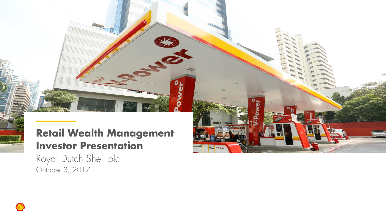

# **Investor Presentation**

Royal Dutch Shell plc October 3, 2017

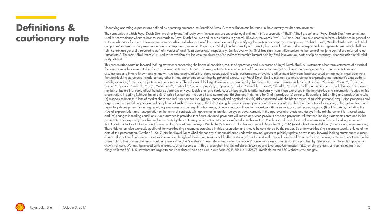## **Definitions & cautionary note**

Underlying operating expenses are defined as operating expenses less identified items. A reconciliation can be found in the quarterly results announcement.

The companies in which Royal Dutch Shell plc directly and indirectly owns investments are separate legal entities. In this presentation "Shell", "Shell group" and "Royal Dutch Shell" are sometimes used for convenience where references are made to Royal Dutch Shell plc and its subsidiaries in general. Likewise, the words "we", "us" and "our" are also used to refer to subsidiaries in general or to those who work for them. These expressions are also used where no useful purpose is served by identifying the particular company or companies. ''Subsidiaries'', "Shell subsidiaries" and "Shell companies" as used in this presentation refer to companies over which Royal Dutch Shell plc either directly or indirectly has control. Entities and unincorporated arrangements over which Shell has joint control are generally referred to as "joint ventures" and "joint operations" respectively. Entities over which Shell has significant influence but neither control nor joint control are referred to as "associates". The term "Shell interest" is used for convenience to indicate the direct and/or indirect ownership interest held by Shell in a venture, partnership or company, after exclusion of all thirdparty interest.

This presentation contains forward-looking statements concerning the financial condition, results of operations and businesses of Royal Dutch Shell. All statements other than statements of historical fact are, or may be deemed to be, forward-looking statements. Forward-looking statements are statements of future expectations that are based on management's current expectations and assumptions and involve known and unknown risks and uncertainties that could cause actual results, performance or events to differ materially from those expressed or implied in these statements. Forward-looking statements include, among other things, statements concerning the potential exposure of Royal Dutch Shell to market risks and statements expressing management's expectations, beliefs, estimates, forecasts, projections and assumptions. These forward-looking statements are identified by their use of terms and phrases such as ''anticipate'', ''believe'', ''could'', ''estimate'', ''expect'', ''goals'', ''intend'', ''may'', ''objectives'', ''outlook'', ''plan'', ''probably'', ''project'', ''risks'', "schedule", ''seek'', ''should'', ''target'', ''will'' and similar terms and phrases. There are a number of factors that could affect the future operations of Royal Dutch Shell and could cause those results to differ materially from those expressed in the forward-looking statements included in this presentation, including (without limitation): (a) price fluctuations in crude oil and natural gas; (b) changes in demand for Shell's products; (c) currency fluctuations; (d) drilling and production results; (e) reserves estimates; (f) loss of market share and industry competition; (g) environmental and physical risks; (h) risks associated with the identification of suitable potential acquisition properties and targets, and successful negotiation and completion of such transactions; (i) the risk of doing business in developing countries and countries subject to international sanctions; (j) legislative, fiscal and regulatory developments including regulatory measures addressing climate change; (k) economic and financial market conditions in various countries and regions; (l) political risks, including the risks of expropriation and renegotiation of the terms of contracts with governmental entities, delays or advancements in the approval of projects and delays in the reimbursement for shared costs; and (m) changes in trading conditions. No assurance is provided that future dividend payments will match or exceed previous dividend payments. All forward-looking statements contained in this presentation are expressly qualified in their entirety by the cautionary statements contained or referred to in this section. Readers should not place undue reliance on forward-looking statements. Additional risk factors that may affect future results are contained in Royal Dutch Shell's Form 20-F for the year ended December 31, 2016 (available at www.shell.com/investor and www.sec.gov). These risk factors also expressly qualify all forward-looking statements contained in this presentation and should be considered by the reader. Each forward-looking statement speaks only as of the date of this presentation, October 3, 2017. Neither Royal Dutch Shell plc nor any of its subsidiaries undertake any obligation to publicly update or revise any forward-looking statement as a result of new information, future events or other information. In light of these risks, results could differ materially from those stated, implied or inferred from the forward-looking statements contained in this presentation. This presentation may contain references to Shell's website. These references are for the readers' convenience only. Shell is not incorporating by reference any information posted on www.shell.com. We may have used certain terms, such as resources, in this presentation that United States Securities and Exchange Commission (SEC) strictly prohibits us from including in our filings with the SEC. U.S. investors are urged to consider closely the disclosure in our Form 20-F, File No 1-32575, available on the SEC website www.sec.gov.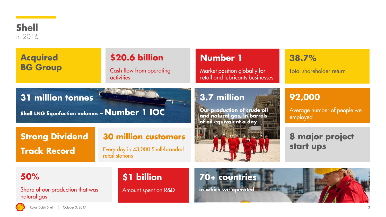

#### **\$20.6 billion**  Cash flow from operating activities **Acquired BG Group Number 1** Market position globally for **31 million tonnes Shell LNG liquefaction volumes – Number 1 IOC 8 major project start ups** retail and lubricants businesses **30 million customers** Every day in 43,000 Shell-branded retail stations **\$1 billion**  Amount spent on R&D **Strong Dividend Track Record 50%** Share of our production that was natural gas **3.7 million Our production of crude oil and natural gas, in barrels of oil equivalent a day 38.7%** Total shareholder return **92,000**  Average number of people we employed **70+ countries in which we operated**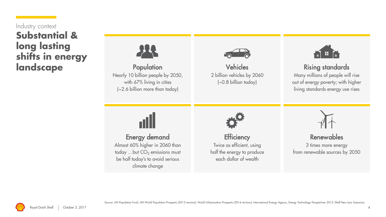### Industry context **Substantial & long lasting shifts in energy landscape**



**Population** Nearly 10 billion people by 2050, with 67% living in cities (~2.6 billion more than today)



Vehicles 2 billion vehicles by 2060 (~0.8 billion today)



Rising standards

Many millions of people will rise out of energy poverty; with higher living standards energy use rises



Energy demand Almost 60% higher in 2060 than today ... but  $CO<sub>2</sub>$  emissions must be half today's to avoid serious climate change



**Efficiency** Twice as efficient, using half the energy to produce each dollar of wealth



Renewables 3 times more energy from renewable sources by 2050

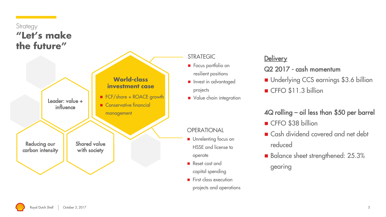### Strategy **"Let's make the future"**



First class execution projects and operations

#### **Delivery**

#### Q2 2017 - cash momentum

- Underlying CCS earnings \$3.6 billion
- CFFO \$11.3 billion

### 4Q rolling – oil less than \$50 per barrel

- CFFO \$38 billion
- Cash dividend covered and net debt reduced
- Balance sheet strengthened: 25.3% gearing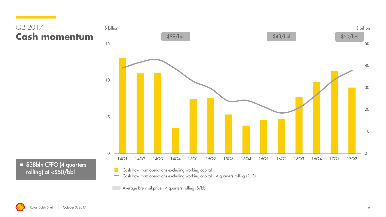

Average Brent oil price - 4 quarters rolling (\$/bbl)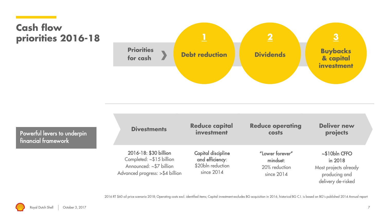## **Cash flow priorities 2016-18**



| Powerful levers to underpin | <b>Divestments</b>                                                                                               | <b>Reduce capital</b>                                                             | <b>Reduce operating</b>                                    | <b>Deliver new</b>                                                                             |
|-----------------------------|------------------------------------------------------------------------------------------------------------------|-----------------------------------------------------------------------------------|------------------------------------------------------------|------------------------------------------------------------------------------------------------|
| financial framework         |                                                                                                                  | investment                                                                        | costs                                                      | projects                                                                                       |
|                             | 2016-18: \$30 billion<br>Completed: $~515$ billion<br>Announced: ~\$7 billion<br>Advanced progress: >\$4 billion | <b>Capital discipline</b><br>and efficiency:<br>\$20bln reduction<br>since $2014$ | "Lower forever"<br>mindset:<br>20% reduction<br>since 2014 | $\sim$ \$10bln CFFO<br>in 2018<br>Most projects already<br>producing and<br>delivery de-risked |

2016 RT \$60 oil price scenario 2018; Operating costs excl. identified items; Capital investment excludes BG acquisition in 2016, historical BG C.I. is based on BG's published 2014 Annual report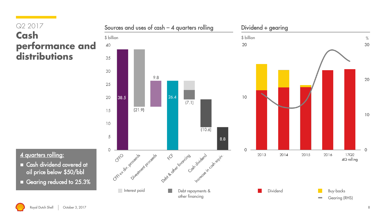### Q2 2017 **Cash performance and distributions**



4 quarters rolling:

- **E** Cash dividend covered at oil price below \$50/bbl
- Gearing reduced to 25.3%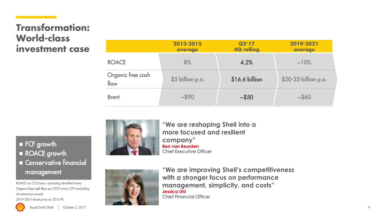## **Transformation: World-class investment case**

|                           | 2013-2015<br>average | Q2'17<br><b>4Q rolling</b> | 2019-2021<br>average |
|---------------------------|----------------------|----------------------------|----------------------|
| <b>ROACE</b>              | 8%                   | 4.2%                       | $~10\%$              |
| Organic free cash<br>flow | \$5 billion p.a.     | \$16.6 billion             | \$20-25 billion p.a. |
| <b>Brent</b>              | ~1.590               | ~1.550                     | ~1.560               |



**"We are reshaping Shell into a more focused and resilient company" Ben van Beurden** Chief Executive Officer



**"We are improving Shell's competitiveness with a stronger focus on performance management, simplicity, and costs" Jessica Uhl** Chief Financial Officer

**FCF** growth ROACE growth Gonservative financial management

ROACE on CCS basis, excluding identified items Organic free cash flow as CFFO minus CFFI excluding divestment proceeds 2019-2021 Brent price as 2016 RT